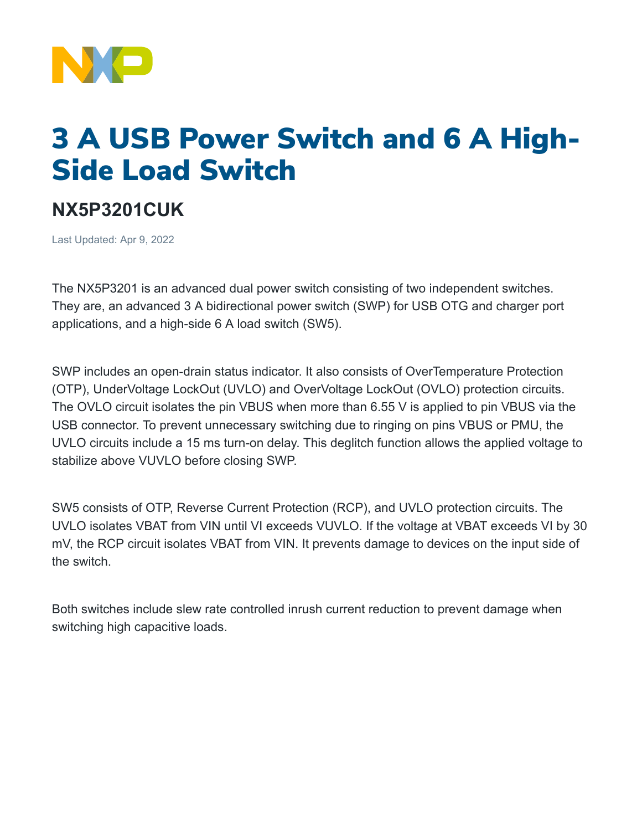

## 3 A USB Power Switch and 6 A High-Side Load Switch

## **NX5P3201CUK**

Last Updated: Apr 9, 2022

The NX5P3201 is an advanced dual power switch consisting of two independent switches. They are, an advanced 3 A bidirectional power switch (SWP) for USB OTG and charger port applications, and a high-side 6 A load switch (SW5).

SWP includes an open-drain status indicator. It also consists of OverTemperature Protection (OTP), UnderVoltage LockOut (UVLO) and OverVoltage LockOut (OVLO) protection circuits. The OVLO circuit isolates the pin VBUS when more than 6.55 V is applied to pin VBUS via the USB connector. To prevent unnecessary switching due to ringing on pins VBUS or PMU, the UVLO circuits include a 15 ms turn-on delay. This deglitch function allows the applied voltage to stabilize above VUVLO before closing SWP.

SW5 consists of OTP, Reverse Current Protection (RCP), and UVLO protection circuits. The UVLO isolates VBAT from VIN until VI exceeds VUVLO. If the voltage at VBAT exceeds VI by 30 mV, the RCP circuit isolates VBAT from VIN. It prevents damage to devices on the input side of the switch.

Both switches include slew rate controlled inrush current reduction to prevent damage when switching high capacitive loads.